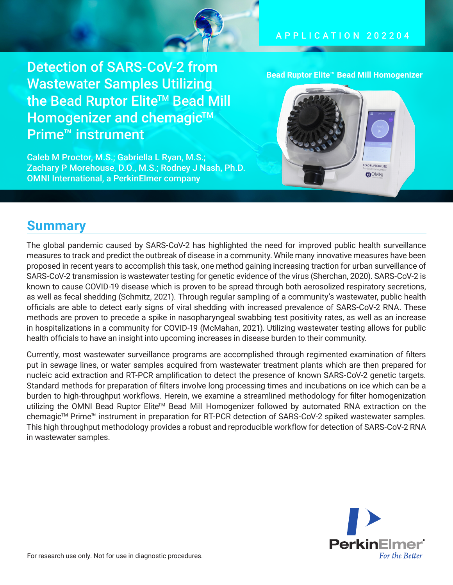

### APPLICATION 2 0 2 2 0 4

Detection of SARS-CoV-2 from Wastewater Samples Utilizing the Bead Ruptor Elite<sup>™</sup> Bead Mill Homogenizer and chemagic<sup>™</sup> Prime™ instrument

Caleb M Proctor, M.S.; Gabriella L Ryan, M.S.; Zachary P Morehouse, D.O., M.S.; Rodney J Nash, Ph.D. OMNI International, a PerkinElmer company

**Bead Ruptor Elite™ Bead Mill Homogenizer**



### **Summary**

The global pandemic caused by SARS-CoV-2 has highlighted the need for improved public health surveillance measures to track and predict the outbreak of disease in a community. While many innovative measures have been proposed in recent years to accomplish this task, one method gaining increasing traction for urban surveillance of SARS-CoV-2 transmission is wastewater testing for genetic evidence of the virus (Sherchan, 2020). SARS-CoV-2 is known to cause COVID-19 disease which is proven to be spread through both aerosolized respiratory secretions, as well as fecal shedding (Schmitz, 2021). Through regular sampling of a community's wastewater, public health officials are able to detect early signs of viral shedding with increased prevalence of SARS-CoV-2 RNA. These methods are proven to precede a spike in nasopharyngeal swabbing test positivity rates, as well as an increase in hospitalizations in a community for COVID-19 (McMahan, 2021). Utilizing wastewater testing allows for public health officials to have an insight into upcoming increases in disease burden to their community.

Currently, most wastewater surveillance programs are accomplished through regimented examination of filters put in sewage lines, or water samples acquired from wastewater treatment plants which are then prepared for nucleic acid extraction and RT-PCR amplification to detect the presence of known SARS-CoV-2 genetic targets. Standard methods for preparation of filters involve long processing times and incubations on ice which can be a burden to high-throughput workflows. Herein, we examine a streamlined methodology for filter homogenization utilizing the OMNI Bead Ruptor Elite™ Bead Mill Homogenizer followed by automated RNA extraction on the chemagic<sup>™</sup> Prime<sup>™</sup> instrument in preparation for RT-PCR detection of SARS-CoV-2 spiked wastewater samples. This high throughput methodology provides a robust and reproducible workflow for detection of SARS-CoV-2 RNA in wastewater samples.

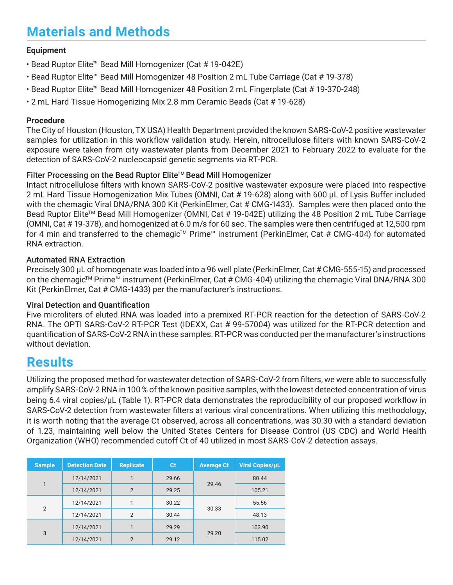# **Materials and Methods**

### **Equipment**

- Bead Ruptor Elite™ Bead Mill Homogenizer (Cat # 19-042E)
- Bead Ruptor Elite™ Bead Mill Homogenizer 48 Position 2 mL Tube Carriage (Cat # 19-378)
- Bead Ruptor Elite™ Bead Mill Homogenizer 48 Position 2 mL Fingerplate (Cat # 19-370-248)
- 2 mL Hard Tissue Homogenizing Mix 2.8 mm Ceramic Beads (Cat # 19-628)

#### **Procedure**

The City of Houston (Houston, TX USA) Health Department provided the known SARS-CoV-2 positive wastewater samples for utilization in this workflow validation study. Herein, nitrocellulose filters with known SARS-CoV-2 exposure were taken from city wastewater plants from December 2021 to February 2022 to evaluate for the detection of SARS-CoV-2 nucleocapsid genetic segments via RT-PCR.

#### Filter Processing on the Bead Ruptor Elite™ Bead Mill Homogenizer

Intact nitrocellulose filters with known SARS-CoV-2 positive wastewater exposure were placed into respective 2 mL Hard Tissue Homogenization Mix Tubes (OMNI, Cat # 19-628) along with 600 µL of Lysis Buffer included with the chemagic Viral DNA/RNA 300 Kit (PerkinElmer, Cat # CMG-1433). Samples were then placed onto the Bead Ruptor Elite™ Bead Mill Homogenizer (OMNI, Cat # 19-042E) utilizing the 48 Position 2 mL Tube Carriage (OMNI, Cat # 19-378), and homogenized at 6.0 m/s for 60 sec. The samples were then centrifuged at 12,500 rpm for 4 min and transferred to the chemagic<sup>™</sup> Prime<sup>™</sup> instrument (PerkinElmer, Cat # CMG-404) for automated RNA extraction.

#### Automated RNA Extraction

Precisely 300 µL of homogenate was loaded into a 96 well plate (PerkinElmer, Cat # CMG-555-15) and processed on the chemagic<sup>™</sup> Prime™ instrument (PerkinElmer, Cat # CMG-404) utilizing the chemagic Viral DNA/RNA 300 Kit (PerkinElmer, Cat # CMG-1433) per the manufacturer's instructions.

#### Viral Detection and Quantification

Five microliters of eluted RNA was loaded into a premixed RT-PCR reaction for the detection of SARS-CoV-2 RNA. The OPTI SARS-CoV-2 RT-PCR Test (IDEXX, Cat # 99-57004) was utilized for the RT-PCR detection and quantification of SARS-CoV-2 RNA in these samples. RT-PCR was conducted per the manufacturer's instructions without deviation.

### **Results**

Utilizing the proposed method for wastewater detection of SARS-CoV-2 from filters, we were able to successfully amplify SARS-CoV-2 RNA in 100 % of the known positive samples, with the lowest detected concentration of virus being 6.4 viral copies/µL (Table 1). RT-PCR data demonstrates the reproducibility of our proposed workflow in SARS-CoV-2 detection from wastewater filters at various viral concentrations. When utilizing this methodology, it is worth noting that the average Ct observed, across all concentrations, was 30.30 with a standard deviation of 1.23, maintaining well below the United States Centers for Disease Control (US CDC) and World Health Organization (WHO) recommended cutoff Ct of 40 utilized in most SARS-CoV-2 detection assays.

| <b>Sample</b>  | <b>Detection Date</b> | <b>Replicate</b> | <b>Ct</b> | <b>Average Ct</b> | <b>Viral Copies/uL</b> |
|----------------|-----------------------|------------------|-----------|-------------------|------------------------|
| 1              | 12/14/2021            | 1                | 29.66     | 29.46             | 80.44                  |
|                | 12/14/2021            | $\overline{2}$   | 29.25     |                   | 105.21                 |
| $\overline{2}$ | 12/14/2021            |                  | 30.22     | 30.33             | 55.56                  |
|                | 12/14/2021            | $\overline{2}$   | 30.44     |                   | 48.13                  |
| 3              | 12/14/2021            |                  | 29.29     | 29.20             | 103.90                 |
|                | 12/14/2021            | $\overline{2}$   | 29.12     |                   | 115.02                 |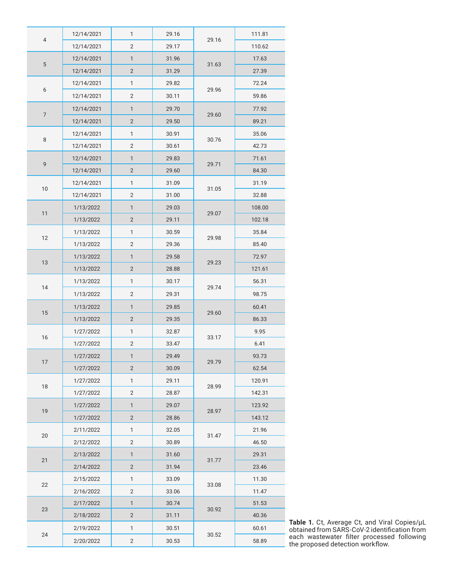| $\overline{4}$ | 12/14/2021 | 1              | 29.16 | 29.16 | 111.81 |
|----------------|------------|----------------|-------|-------|--------|
|                | 12/14/2021 | $\overline{2}$ | 29.17 |       | 110.62 |
| $\sqrt{5}$     | 12/14/2021 | 1              | 31.96 | 31.63 | 17.63  |
|                | 12/14/2021 | $\mathbf{2}$   | 31.29 |       | 27.39  |
| 6              | 12/14/2021 | 1              | 29.82 | 29.96 | 72.24  |
|                | 12/14/2021 | 2              | 30.11 |       | 59.86  |
| $\overline{7}$ | 12/14/2021 | 1              | 29.70 | 29.60 | 77.92  |
|                | 12/14/2021 | $\mathbf{2}$   | 29.50 |       | 89.21  |
| $\,8\,$        | 12/14/2021 | 1              | 30.91 | 30.76 | 35.06  |
|                | 12/14/2021 | $\sqrt{2}$     | 30.61 |       | 42.73  |
| $\mathsf g$    | 12/14/2021 | 1              | 29.83 | 29.71 | 71.61  |
|                | 12/14/2021 | $\overline{2}$ | 29.60 |       | 84.30  |
| 10             | 12/14/2021 | 1              | 31.09 | 31.05 | 31.19  |
|                | 12/14/2021 | $\overline{2}$ | 31.00 |       | 32.88  |
| 11             | 1/13/2022  | 1              | 29.03 | 29.07 | 108.00 |
|                | 1/13/2022  | $\mathbf{2}$   | 29.11 |       | 102.18 |
| 12             | 1/13/2022  | 1              | 30.59 | 29.98 | 35.84  |
|                | 1/13/2022  | $\mathbf{2}$   | 29.36 |       | 85.40  |
| 13             | 1/13/2022  | 1              | 29.58 | 29.23 | 72.97  |
|                | 1/13/2022  | $\sqrt{2}$     | 28.88 |       | 121.61 |
| 14             | 1/13/2022  | 1              | 30.17 | 29.74 | 56.31  |
|                | 1/13/2022  | $\overline{2}$ | 29.31 |       | 98.75  |
|                | 1/13/2022  | 1              | 29.85 | 29.60 | 60.41  |
| 15             | 1/13/2022  | $\mathbf{2}$   | 29.35 |       | 86.33  |
| 16             | 1/27/2022  | 1              | 32.87 | 33.17 | 9.95   |
|                | 1/27/2022  | $\overline{2}$ | 33.47 |       | 6.41   |
| 17             | 1/27/2022  | 1              | 29.49 | 29.79 | 93.73  |
|                | 1/27/2022  | $\overline{2}$ | 30.09 |       | 62.54  |
| 18             | 1/27/2022  | 1              | 29.11 | 28.99 | 120.91 |
|                | 1/27/2022  | 2              | 28.87 |       | 142.31 |
| 19             | 1/27/2022  | 1              | 29.07 | 28.97 | 123.92 |
|                | 1/27/2022  | $\overline{2}$ | 28.86 |       | 143.12 |
| $20\,$         | 2/11/2022  | 1              | 32.05 | 31.47 | 21.96  |
|                | 2/12/2022  | 2              | 30.89 |       | 46.50  |
| 21             | 2/13/2022  | 1              | 31.60 | 31.77 | 29.31  |
|                | 2/14/2022  | $\overline{2}$ | 31.94 |       | 23.46  |
| 22             | 2/15/2022  | $\mathbf{1}$   | 33.09 | 33.08 | 11.30  |
|                | 2/16/2022  | $\mathbf{2}$   | 33.06 |       | 11.47  |
| 23             | 2/17/2022  | 1              | 30.74 | 30.92 | 51.53  |
|                | 2/18/2022  | $\mathbf{2}$   | 31.11 |       | 40.36  |
| 24             | 2/19/2022  | 1              | 30.51 | 30.52 | 60.61  |
|                | 2/20/2022  | $\mathbf{2}$   | 30.53 |       | 58.89  |

**Table 1.** Ct, Average Ct, and Viral Copies/µL obtained from SARS-CoV-2 identification from each wastewater filter processed following the proposed detection workflow.